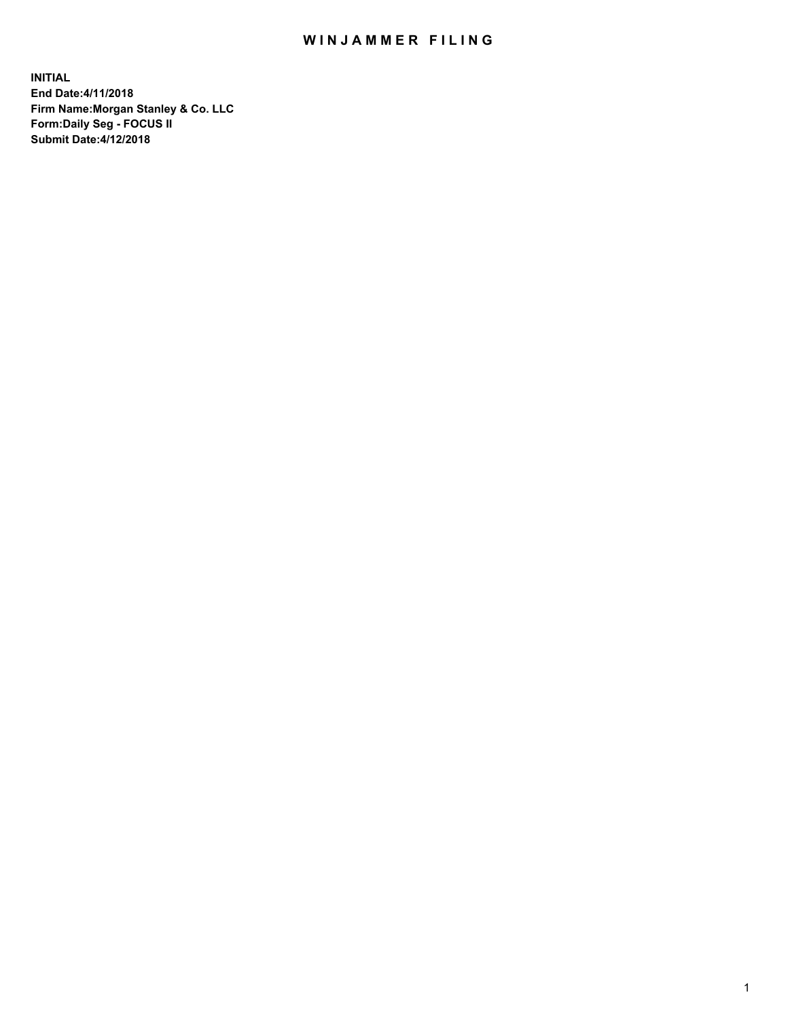# WIN JAMMER FILING

**INITIAL End Date:4/11/2018 Firm Name:Morgan Stanley & Co. LLC Form:Daily Seg - FOCUS II Submit Date:4/12/2018**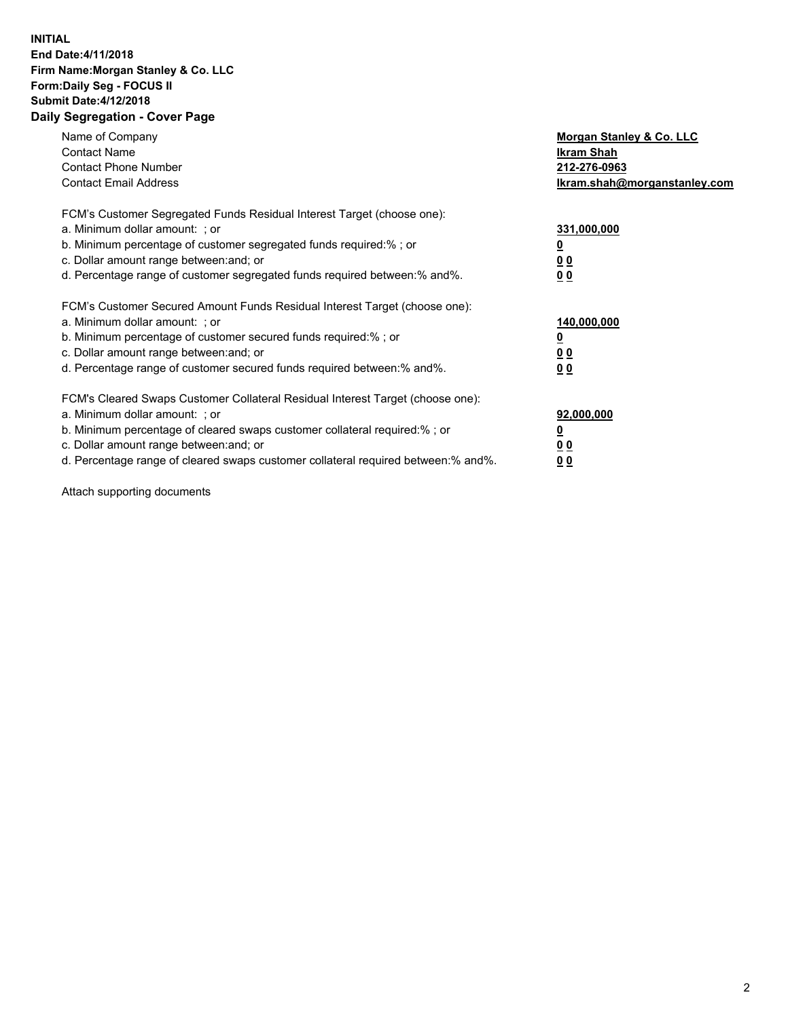### **INITIAL End Date:4/11/2018 Firm Name:Morgan Stanley & Co. LLC Form:Daily Seg - FOCUS II Submit Date:4/12/2018 Daily Segregation - Cover Page**

| Name of Company<br><b>Contact Name</b><br><b>Contact Phone Number</b><br><b>Contact Email Address</b>                                                                                                                                                                                                                          | Morgan Stanley & Co. LLC<br>Ikram Shah<br>212-276-0963<br>lkram.shah@morganstanley.com |
|--------------------------------------------------------------------------------------------------------------------------------------------------------------------------------------------------------------------------------------------------------------------------------------------------------------------------------|----------------------------------------------------------------------------------------|
| FCM's Customer Segregated Funds Residual Interest Target (choose one):<br>a. Minimum dollar amount: ; or<br>b. Minimum percentage of customer segregated funds required:%; or<br>c. Dollar amount range between: and; or<br>d. Percentage range of customer segregated funds required between: % and %.                        | 331,000,000<br>0 <sub>0</sub><br>00                                                    |
| FCM's Customer Secured Amount Funds Residual Interest Target (choose one):<br>a. Minimum dollar amount: ; or<br>b. Minimum percentage of customer secured funds required:%; or<br>c. Dollar amount range between: and; or<br>d. Percentage range of customer secured funds required between:% and%.                            | 140,000,000<br>0 <sub>0</sub><br>0 <sub>0</sub>                                        |
| FCM's Cleared Swaps Customer Collateral Residual Interest Target (choose one):<br>a. Minimum dollar amount: ; or<br>b. Minimum percentage of cleared swaps customer collateral required:% ; or<br>c. Dollar amount range between: and; or<br>d. Percentage range of cleared swaps customer collateral required between:% and%. | 92,000,000<br>0 <sub>0</sub><br>0 <sub>0</sub>                                         |

Attach supporting documents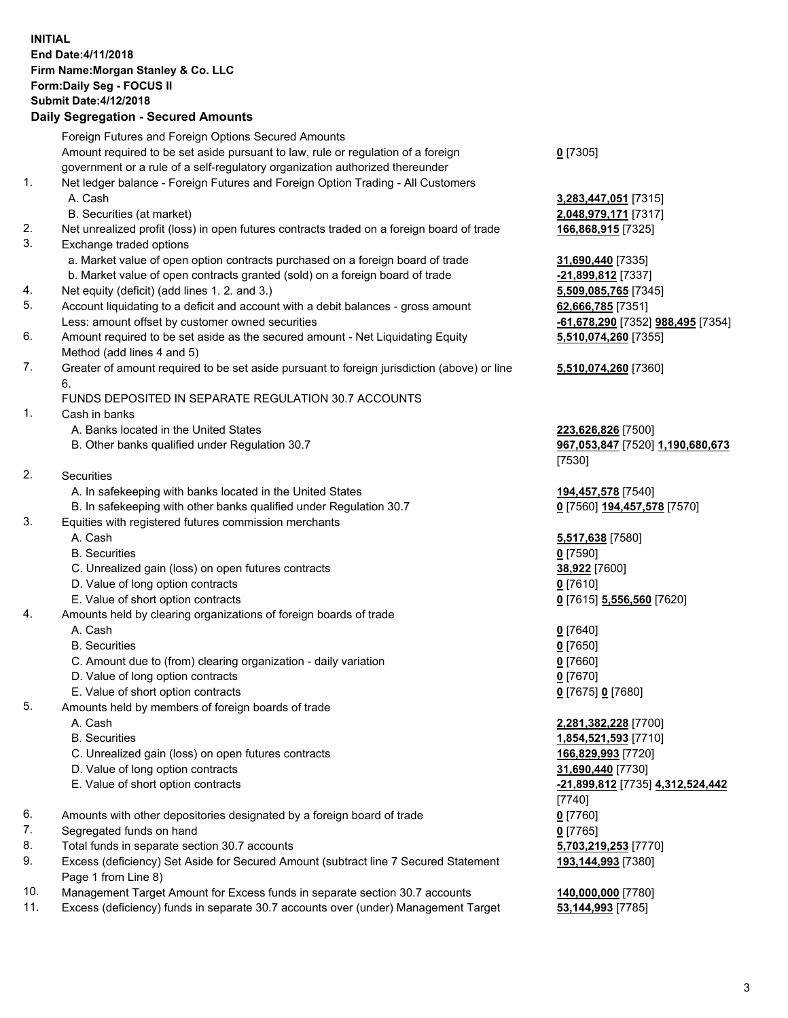# **INITIAL End Date:4/11/2018 Firm Name:Morgan Stanley & Co. LLC Form:Daily Seg - FOCUS II Submit Date:4/12/2018**

#### **Daily Segregation - Secured Amounts**

Foreign Futures and Foreign Options Secured Amounts Amount required to be set aside pursuant to law, rule or regulation of a foreign government or a rule of a self-regulatory organization authorized thereunder 1. Net ledger balance - Foreign Futures and Foreign Option Trading - All Customers A. Cash **3,283,447,051** [7315] B. Securities (at market) **2,048,979,171** [7317] 2. Net unrealized profit (loss) in open futures contracts traded on a foreign board of trade **166,868,915** [7325] 3. Exchange traded options a. Market value of open option contracts purchased on a foreign board of trade **31,690,440** [7335] b. Market value of open contracts granted (sold) on a foreign board of trade **-21,899,812** [7337] 4. Net equity (deficit) (add lines 1. 2. and 3.) **5,509,085,765** [7345] 5. Account liquidating to a deficit and account with a debit balances - gross amount **62,666,785** [7351] Less: amount offset by customer owned securities **-61,678,290** [7352] **988,495** [7354] 6. Amount required to be set aside as the secured amount - Net Liquidating Equity Method (add lines 4 and 5) 7. Greater of amount required to be set aside pursuant to foreign jurisdiction (above) or line 6. FUNDS DEPOSITED IN SEPARATE REGULATION 30.7 ACCOUNTS 1. Cash in banks A. Banks located in the United States **223,626,826** [7500] B. Other banks qualified under Regulation 30.7 **967,053,847** [7520] **1,190,680,673** [7530] 2. Securities A. In safekeeping with banks located in the United States **194,457,578** [7540] B. In safekeeping with other banks qualified under Regulation 30.7 **0** [7560] **194,457,578** [7570] 3. Equities with registered futures commission merchants A. Cash **5,517,638** [7580] B. Securities **0** [7590] C. Unrealized gain (loss) on open futures contracts **38,922** [7600] D. Value of long option contracts **0** [7610] E. Value of short option contracts **0** [7615] **5,556,560** [7620] 4. Amounts held by clearing organizations of foreign boards of trade A. Cash **0** [7640] B. Securities **0** [7650] C. Amount due to (from) clearing organization - daily variation **0** [7660] D. Value of long option contracts **0** [7670] E. Value of short option contracts **0** [7675] **0** [7680] 5. Amounts held by members of foreign boards of trade A. Cash **2,281,382,228** [7700] B. Securities **1,854,521,593** [7710] C. Unrealized gain (loss) on open futures contracts **166,829,993** [7720] D. Value of long option contracts **31,690,440** [7730] E. Value of short option contracts **-21,899,812** [7735] **4,312,524,442** [7740] 6. Amounts with other depositories designated by a foreign board of trade **0** [7760] 7. Segregated funds on hand **0** [7765] 8. Total funds in separate section 30.7 accounts **5,703,219,253** [7770] 9. Excess (deficiency) Set Aside for Secured Amount (subtract line 7 Secured Statement Page 1 from Line 8)

- 10. Management Target Amount for Excess funds in separate section 30.7 accounts **140,000,000** [7780]
- 11. Excess (deficiency) funds in separate 30.7 accounts over (under) Management Target **53,144,993** [7785]

**0** [7305]

**5,510,074,260** [7355]

#### **5,510,074,260** [7360]

**193,144,993** [7380]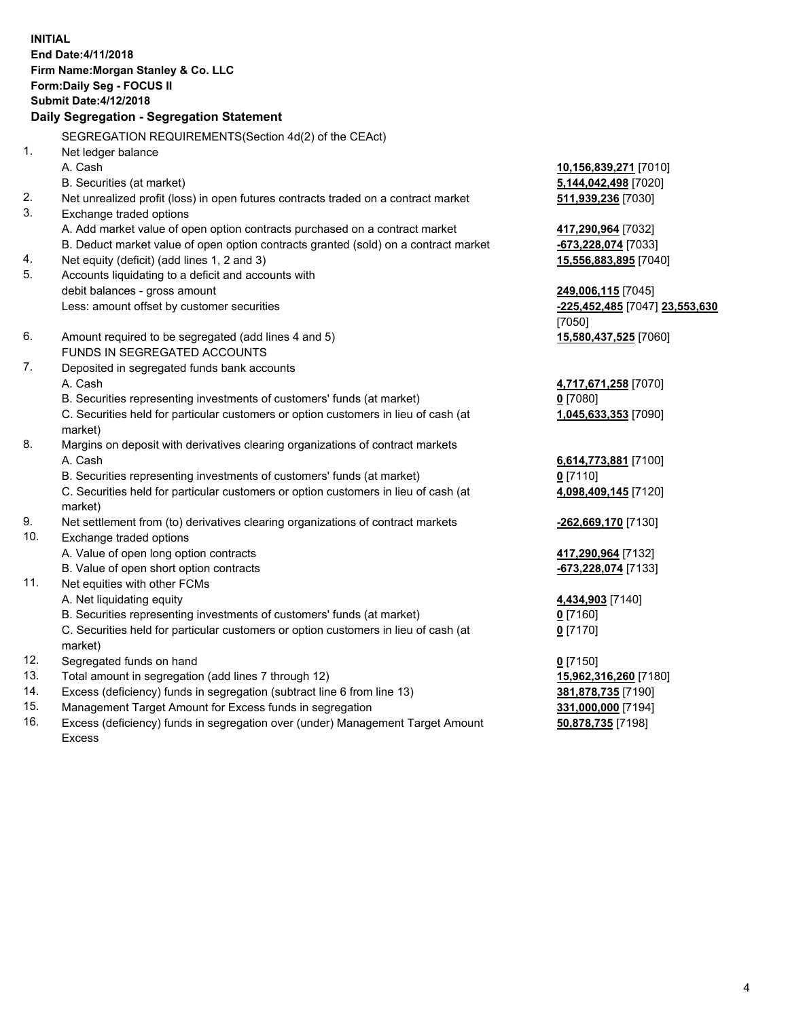**INITIAL End Date:4/11/2018 Firm Name:Morgan Stanley & Co. LLC Form:Daily Seg - FOCUS II Submit Date:4/12/2018 Daily Segregation - Segregation Statement** SEGREGATION REQUIREMENTS(Section 4d(2) of the CEAct) 1. Net ledger balance A. Cash **10,156,839,271** [7010] B. Securities (at market) **5,144,042,498** [7020] 2. Net unrealized profit (loss) in open futures contracts traded on a contract market **511,939,236** [7030] 3. Exchange traded options A. Add market value of open option contracts purchased on a contract market **417,290,964** [7032] B. Deduct market value of open option contracts granted (sold) on a contract market **-673,228,074** [7033] 4. Net equity (deficit) (add lines 1, 2 and 3) **15,556,883,895** [7040] 5. Accounts liquidating to a deficit and accounts with debit balances - gross amount **249,006,115** [7045] Less: amount offset by customer securities **-225,452,485** [7047] **23,553,630** [7050] 6. Amount required to be segregated (add lines 4 and 5) **15,580,437,525** [7060] FUNDS IN SEGREGATED ACCOUNTS 7. Deposited in segregated funds bank accounts A. Cash **4,717,671,258** [7070] B. Securities representing investments of customers' funds (at market) **0** [7080] C. Securities held for particular customers or option customers in lieu of cash (at market) **1,045,633,353** [7090] 8. Margins on deposit with derivatives clearing organizations of contract markets A. Cash **6,614,773,881** [7100] B. Securities representing investments of customers' funds (at market) **0** [7110] C. Securities held for particular customers or option customers in lieu of cash (at market) **4,098,409,145** [7120] 9. Net settlement from (to) derivatives clearing organizations of contract markets **-262,669,170** [7130] 10. Exchange traded options A. Value of open long option contracts **417,290,964** [7132] B. Value of open short option contracts **-673,228,074** [7133] 11. Net equities with other FCMs A. Net liquidating equity **4,434,903** [7140] B. Securities representing investments of customers' funds (at market) **0** [7160] C. Securities held for particular customers or option customers in lieu of cash (at market) **0** [7170] 12. Segregated funds on hand **0** [7150] 13. Total amount in segregation (add lines 7 through 12) **15,962,316,260** [7180] 14. Excess (deficiency) funds in segregation (subtract line 6 from line 13) **381,878,735** [7190]

- 15. Management Target Amount for Excess funds in segregation **331,000,000** [7194]
- 16. Excess (deficiency) funds in segregation over (under) Management Target Amount Excess

**50,878,735** [7198]